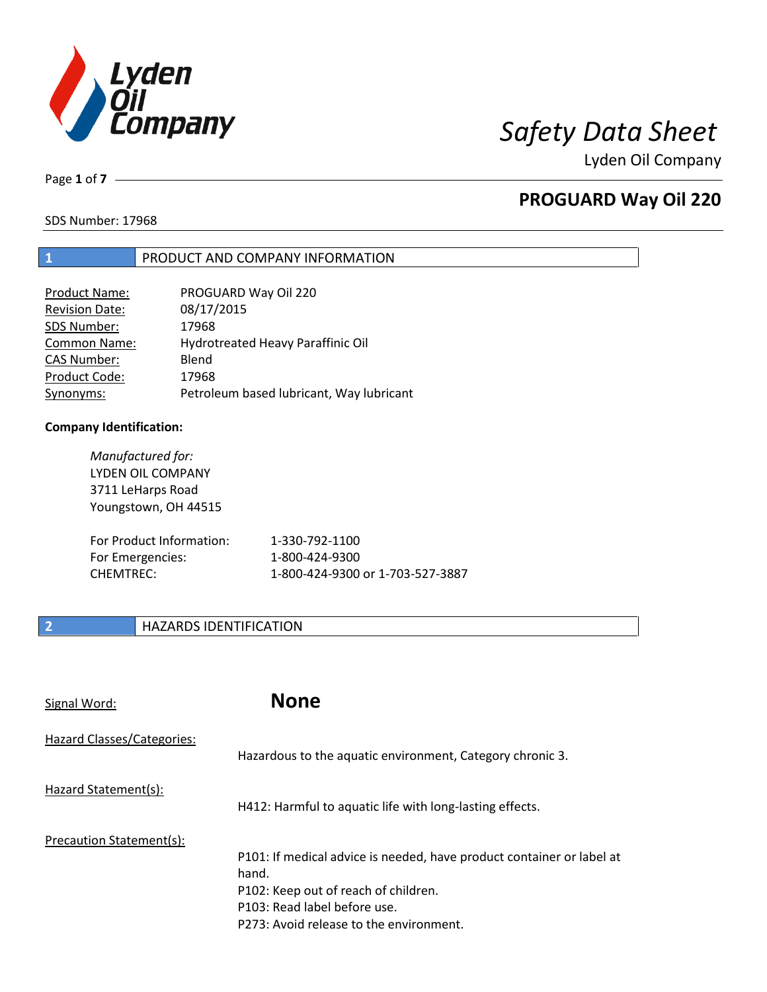

Lyden Oil Company

Page **1** of **7**

# **PROGUARD Way Oil 220**

SDS Number: 17968

## **1** PRODUCT AND COMPANY INFORMATION

| <b>Product Name:</b>  | PROGUARD Way Oil 220                     |
|-----------------------|------------------------------------------|
| <b>Revision Date:</b> | 08/17/2015                               |
| SDS Number:           | 17968                                    |
| <b>Common Name:</b>   | Hydrotreated Heavy Paraffinic Oil        |
| <b>CAS Number:</b>    | Blend                                    |
| Product Code:         | 17968                                    |
| Synonyms:             | Petroleum based lubricant, Way lubricant |

### **Company Identification:**

| Manufactured for:<br><b>LYDEN OIL COMPANY</b><br>3711 LeHarps Road<br>Youngstown, OH 44515 |                                  |
|--------------------------------------------------------------------------------------------|----------------------------------|
| For Product Information:                                                                   | 1-330-792-1100                   |
| For Emergencies:                                                                           | 1-800-424-9300                   |
| <b>CHEMTREC:</b>                                                                           | 1-800-424-9300 or 1-703-527-3887 |

# **2 HAZARDS IDENTIFICATION**

| Signal Word:               | <b>None</b>                                                                                                                                                                                       |
|----------------------------|---------------------------------------------------------------------------------------------------------------------------------------------------------------------------------------------------|
| Hazard Classes/Categories: | Hazardous to the aquatic environment, Category chronic 3.                                                                                                                                         |
| Hazard Statement(s):       | H412: Harmful to aquatic life with long-lasting effects.                                                                                                                                          |
| Precaution Statement(s):   | P101: If medical advice is needed, have product container or label at<br>hand.<br>P102: Keep out of reach of children.<br>P103: Read label before use.<br>P273: Avoid release to the environment. |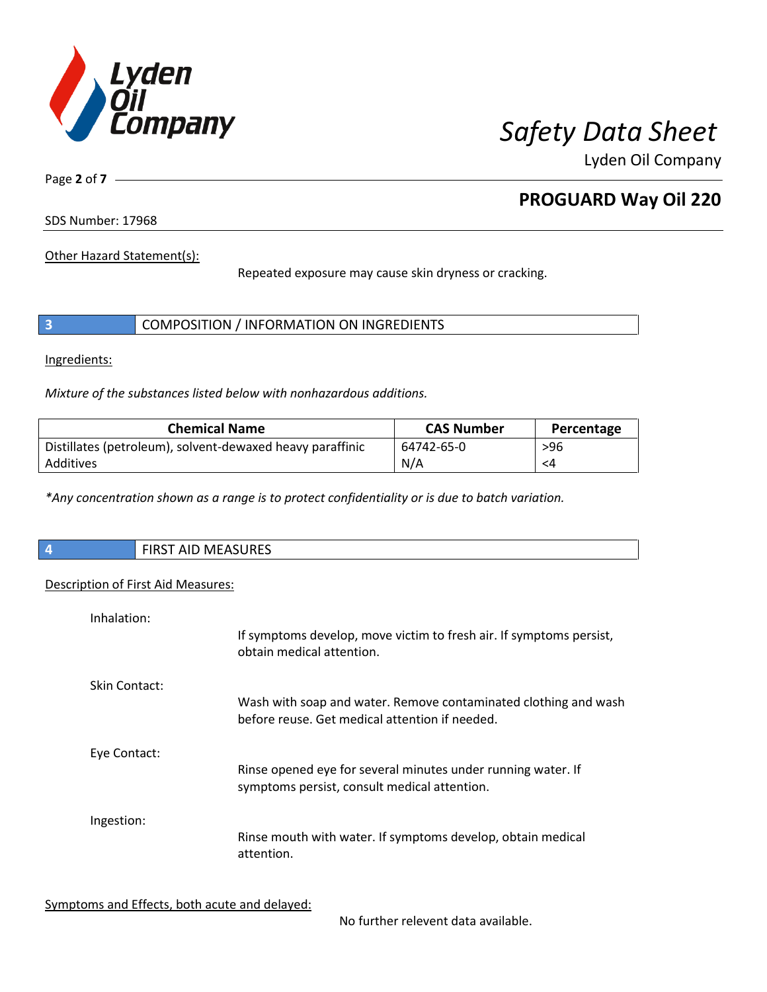

Lyden Oil Company

Page **2** of **7**

# **PROGUARD Way Oil 220**

SDS Number: 17968

Other Hazard Statement(s):

Repeated exposure may cause skin dryness or cracking.

|  | COMPOSITION / INFORMATION ON INGREDIENTS |
|--|------------------------------------------|
|--|------------------------------------------|

Ingredients:

 $\overline{\phantom{a}}$ 

*Mixture of the substances listed below with nonhazardous additions.*

| <b>Chemical Name</b>                                      | <b>CAS Number</b> | Percentage |
|-----------------------------------------------------------|-------------------|------------|
| Distillates (petroleum), solvent-dewaxed heavy paraffinic | 64742-65-0        | >96        |
| Additives                                                 | N/A               | <4         |

*\*Any concentration shown as a range is to protect confidentiality or is due to batch variation.*

| $\vert$ 4 | <b>MEASURES</b><br>, FIRST<br>AIL |
|-----------|-----------------------------------|
|           |                                   |

## Description of First Aid Measures:

| Inhalation:   | If symptoms develop, move victim to fresh air. If symptoms persist,<br>obtain medical attention.                  |
|---------------|-------------------------------------------------------------------------------------------------------------------|
| Skin Contact: | Wash with soap and water. Remove contaminated clothing and wash<br>before reuse. Get medical attention if needed. |
| Eye Contact:  | Rinse opened eye for several minutes under running water. If<br>symptoms persist, consult medical attention.      |
| Ingestion:    | Rinse mouth with water. If symptoms develop, obtain medical<br>attention.                                         |

Symptoms and Effects, both acute and delayed:

No further relevent data available.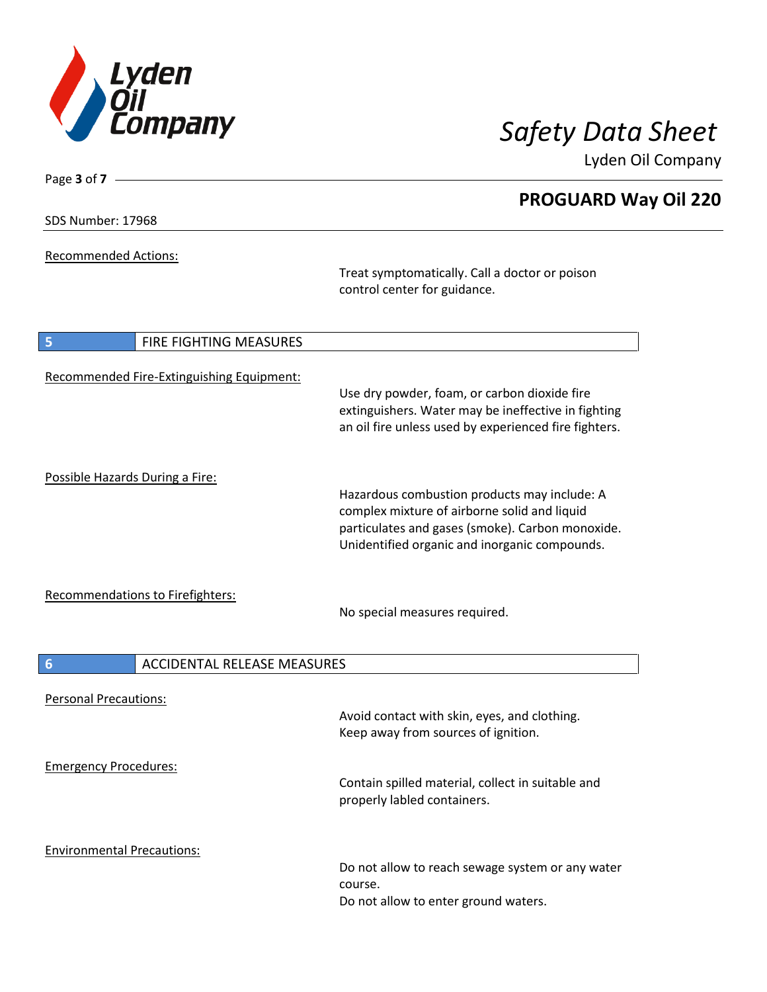

Lyden Oil Company

| SDS Number: 17968 |  |
|-------------------|--|
|-------------------|--|

Page **3** of **7**

Recommended Actions:

Treat symptomatically. Call a doctor or poison control center for guidance.

| <b>FIRE FIGHTING MEASURES</b><br>5                    |                                                                                                                                                                                                   |
|-------------------------------------------------------|---------------------------------------------------------------------------------------------------------------------------------------------------------------------------------------------------|
| Recommended Fire-Extinguishing Equipment:             | Use dry powder, foam, or carbon dioxide fire<br>extinguishers. Water may be ineffective in fighting<br>an oil fire unless used by experienced fire fighters.                                      |
| Possible Hazards During a Fire:                       | Hazardous combustion products may include: A<br>complex mixture of airborne solid and liquid<br>particulates and gases (smoke). Carbon monoxide.<br>Unidentified organic and inorganic compounds. |
| <b>Recommendations to Firefighters:</b>               | No special measures required.                                                                                                                                                                     |
| $6\phantom{1}6$<br><b>ACCIDENTAL RELEASE MEASURES</b> |                                                                                                                                                                                                   |
| <b>Personal Precautions:</b>                          | Avoid contact with skin, eyes, and clothing.<br>Keep away from sources of ignition.                                                                                                               |
| <b>Emergency Procedures:</b>                          | Contain spilled material, collect in suitable and<br>properly labled containers.                                                                                                                  |
| <b>Environmental Precautions:</b>                     | Do not allow to reach sewage system or any water<br>course.<br>Do not allow to enter ground waters.                                                                                               |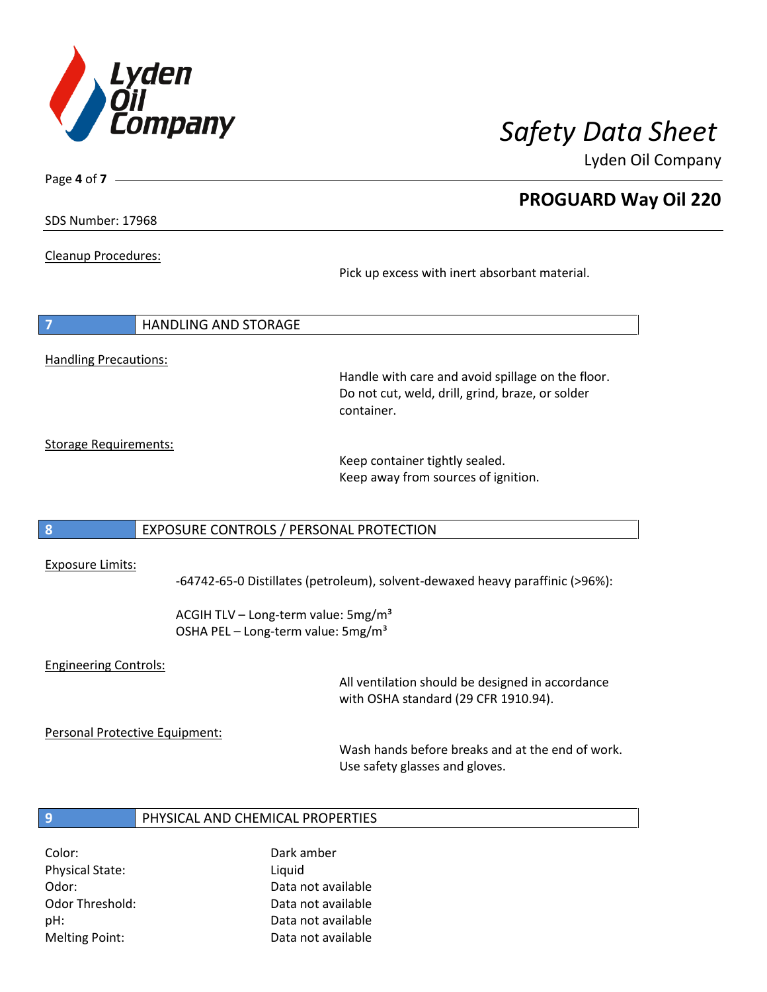

Lyden Oil Company

SDS Number: 17968

Page **4** of **7**

Cleanup Procedures:

Pick up excess with inert absorbant material.

|                              | <b>HANDLING AND STORAGE</b> |
|------------------------------|-----------------------------|
|                              |                             |
| <b>Handling Precautions:</b> |                             |

Handle with care and avoid spillage on the floor. Do not cut, weld, drill, grind, braze, or solder container.

Storage Requirements:

Keep container tightly sealed. Keep away from sources of ignition.

## **8** EXPOSURE CONTROLS / PERSONAL PROTECTION

### Exposure Limits:

-64742-65-0 Distillates (petroleum), solvent-dewaxed heavy paraffinic (>96%):

ACGIH TLV – Long-term value: 5mg/m<sup>3</sup> OSHA PEL - Long-term value: 5mg/m<sup>3</sup>

### Engineering Controls:

All ventilation should be designed in accordance with OSHA standard (29 CFR 1910.94).

Personal Protective Equipment:

Wash hands before breaks and at the end of work. Use safety glasses and gloves.

### **9** PHYSICAL AND CHEMICAL PROPERTIES

Physical State: Liquid

Color: Dark amber Odor: Data not available Odor Threshold: Data not available pH: Data not available Melting Point: Data not available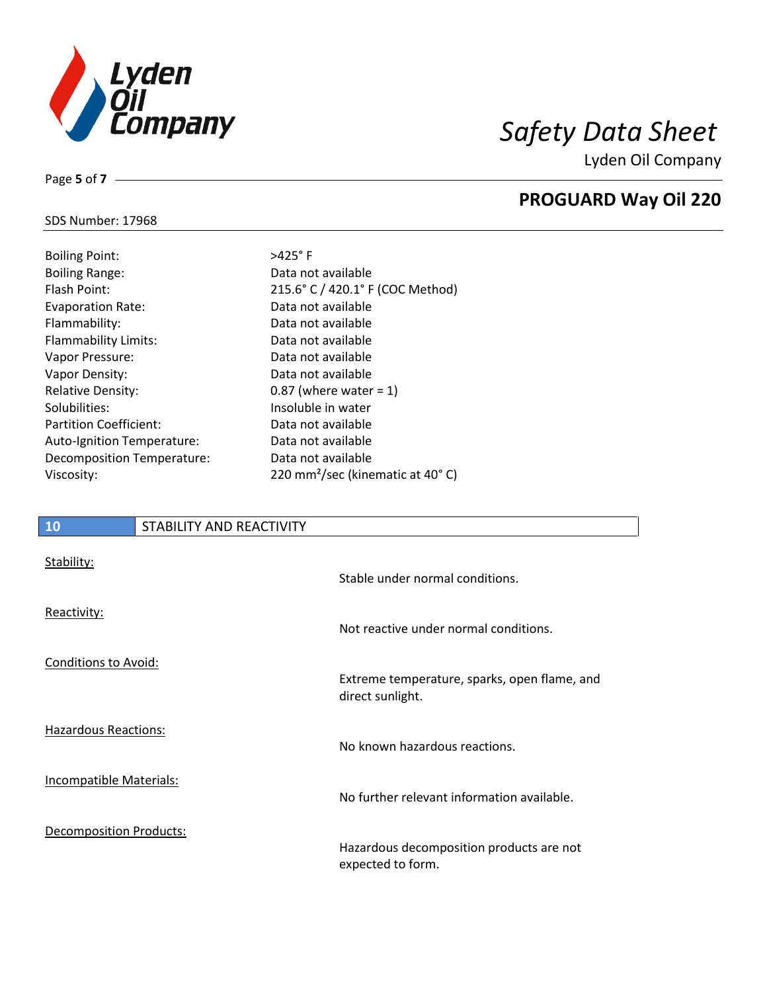

Lyden Oil Company

### SDS Number: 17968

Page **5** of **7**

| <b>Boiling Point:</b>         |
|-------------------------------|
| <b>Boiling Range:</b>         |
| Flash Point:                  |
| <b>Evaporation Rate:</b>      |
| Flammability:                 |
| Flammability Limits:          |
| Vapor Pressure:               |
| Vapor Density:                |
| <b>Relative Density:</b>      |
| Solubilities:                 |
| <b>Partition Coefficient:</b> |
| Auto-Ignition Temperature:    |
| Decomposition Temperature:    |
| Viscosity:                    |

 $>425^\circ$  F Data not available 215.6° C / 420.1° F (COC Method) Data not available Data not available Data not available Data not available Data not available 0.87 (where water =  $1$ ) Insoluble in water Data not available Data not available Data not available 220 mm<sup>2</sup>/sec (kinematic at 40° C)

# **10** STABILITY AND REACTIVITY Stability: Stable under normal conditions. Reactivity: Not reactive under normal conditions.

direct sunlight.

Conditions to Avoid:

Hazardous Reactions:

Incompatible Materials:

Decomposition Products:

Hazardous decomposition products are not expected to form.

No further relevant information available.

Extreme temperature, sparks, open flame, and

No known hazardous reactions.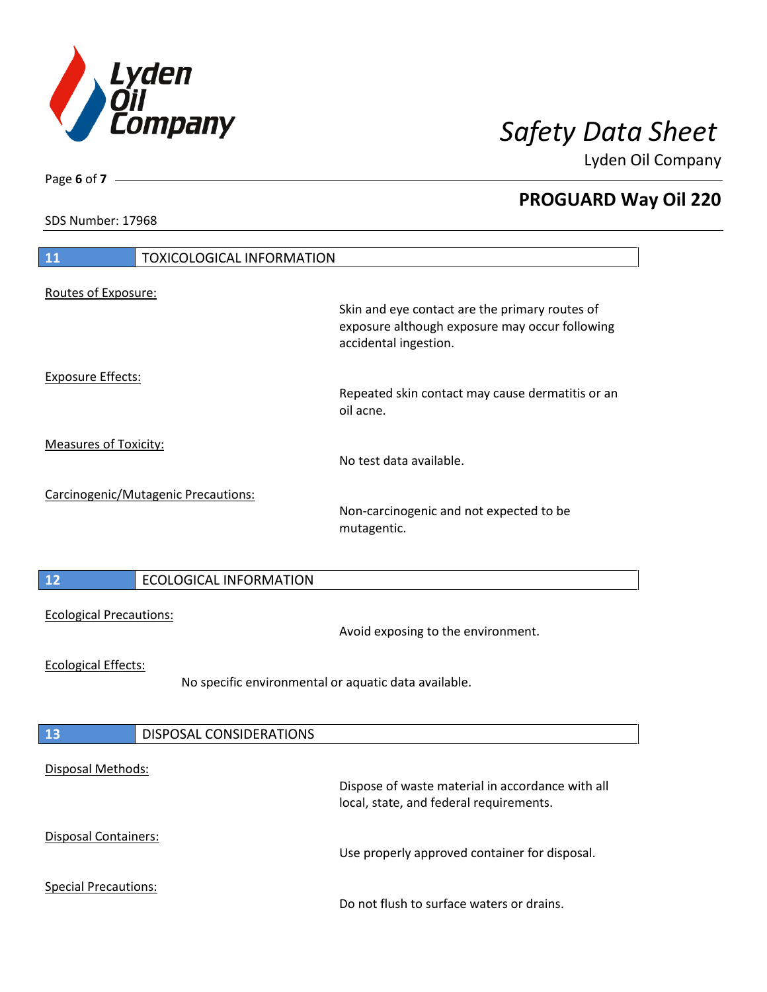

Lyden Oil Company

SDS Number: 17968

| <b>11</b><br><b>TOXICOLOGICAL INFORMATION</b>                                      |                                                                                                                           |
|------------------------------------------------------------------------------------|---------------------------------------------------------------------------------------------------------------------------|
| Routes of Exposure:                                                                |                                                                                                                           |
|                                                                                    | Skin and eye contact are the primary routes of<br>exposure although exposure may occur following<br>accidental ingestion. |
| <b>Exposure Effects:</b>                                                           | Repeated skin contact may cause dermatitis or an<br>oil acne.                                                             |
| <b>Measures of Toxicity:</b>                                                       | No test data available.                                                                                                   |
| Carcinogenic/Mutagenic Precautions:                                                | Non-carcinogenic and not expected to be<br>mutagentic.                                                                    |
| 12<br><b>ECOLOGICAL INFORMATION</b>                                                |                                                                                                                           |
| <b>Ecological Precautions:</b>                                                     | Avoid exposing to the environment.                                                                                        |
| <b>Ecological Effects:</b><br>No specific environmental or aquatic data available. |                                                                                                                           |
| <b>13</b><br><b>DISPOSAL CONSIDERATIONS</b>                                        |                                                                                                                           |
| Disposal Methods:                                                                  | Dispose of waste material in accordance with all<br>local, state, and federal requirements.                               |
| <b>Disposal Containers:</b>                                                        | Use properly approved container for disposal.                                                                             |
| <b>Special Precautions:</b>                                                        | Do not flush to surface waters or drains.                                                                                 |

Page **6** of **7**